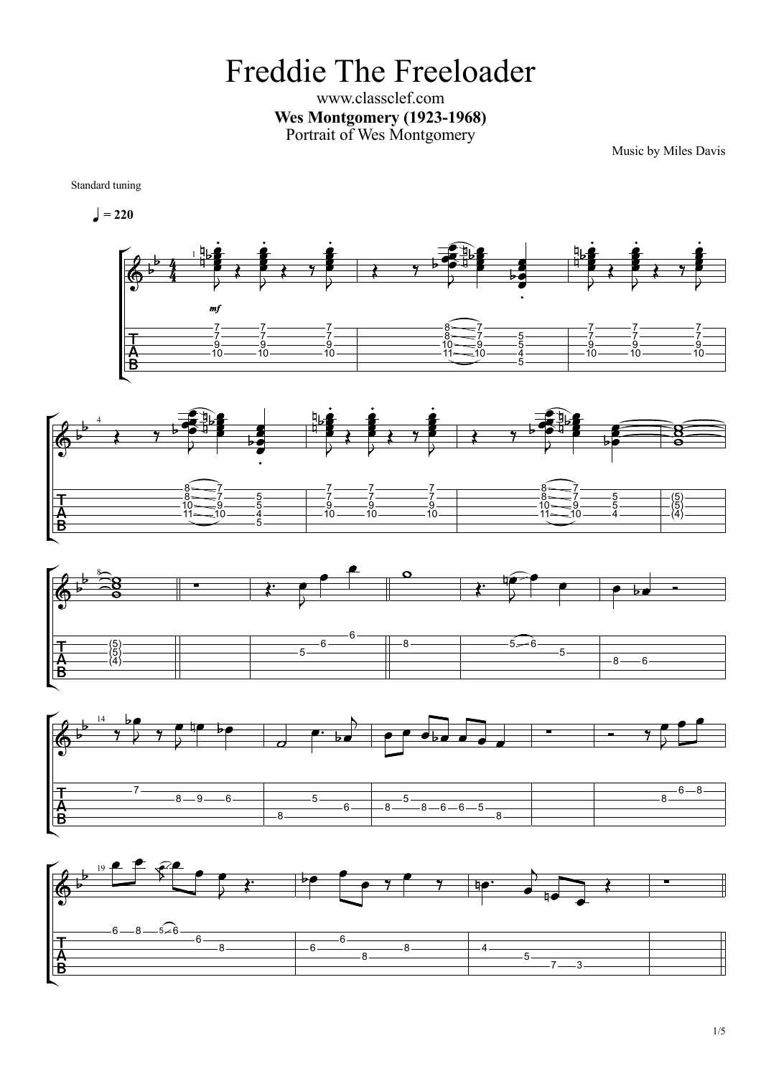Freddie The Freeloader

www.classclef.com **Wes Montgomery (1923-1968)** Portrait of Wes Montgomery

Music by Miles Davis

Standard tuning

 $= 220$ 









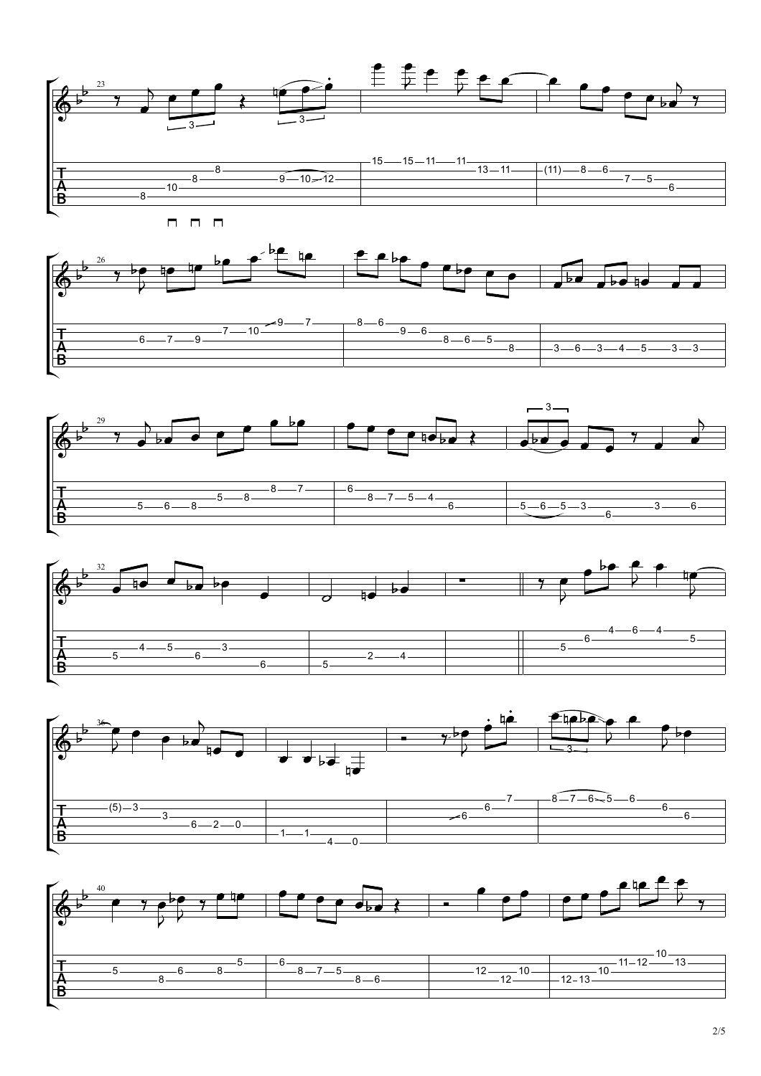









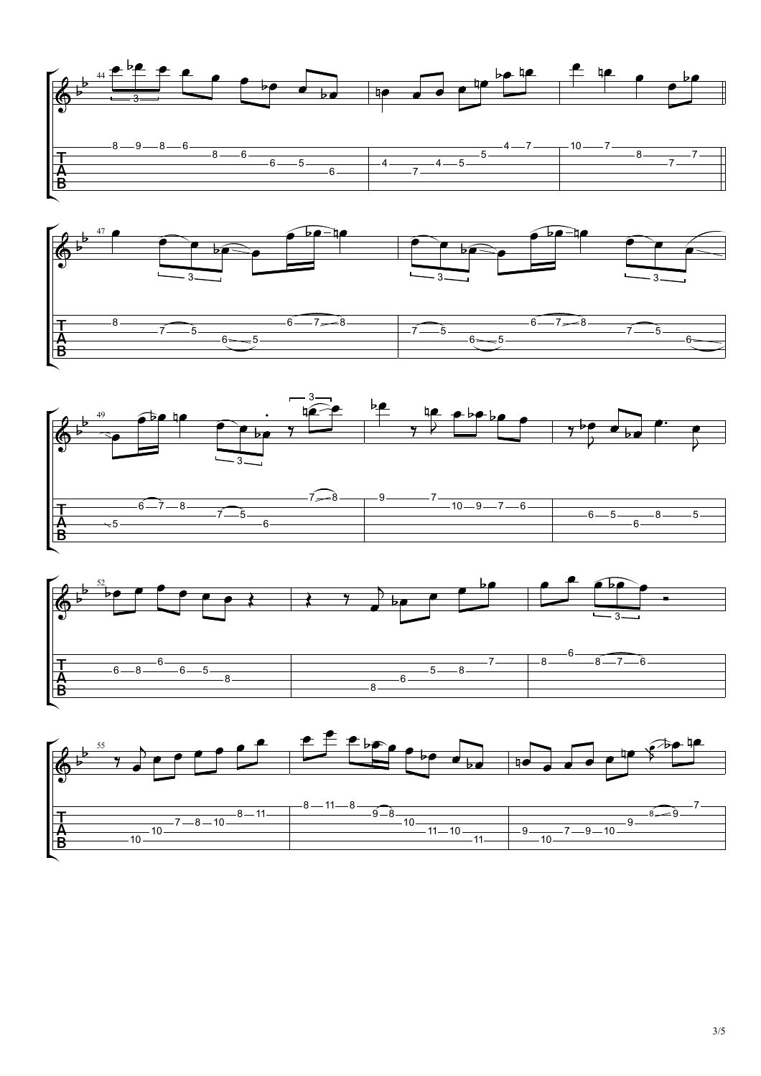









## 3/5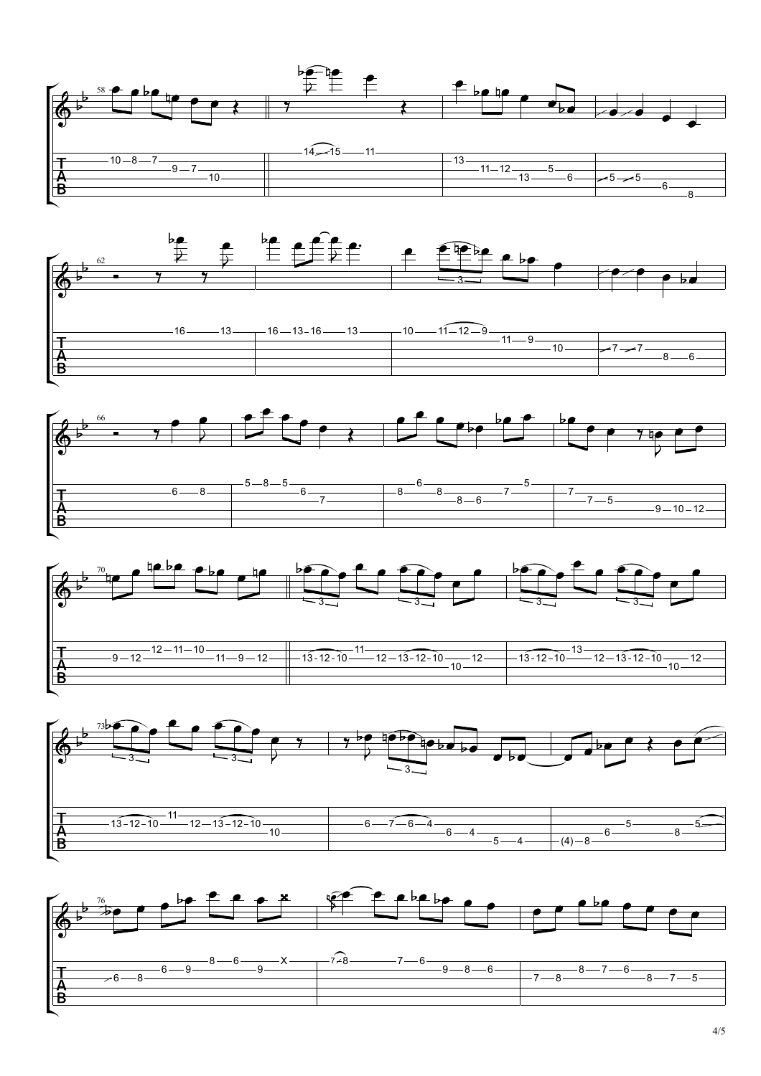